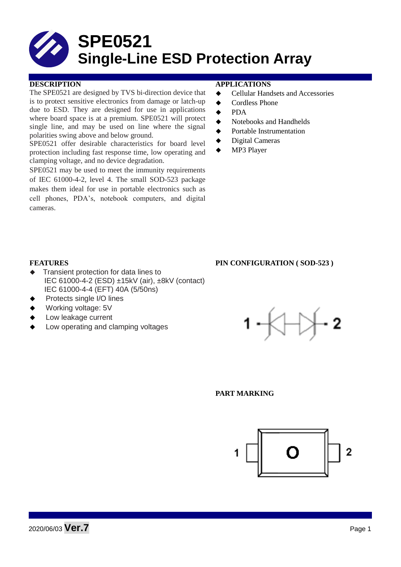# **SPE0521 Single-Line ESD Protection Array**

## **DESCRIPTION APPLICATIONS**

The SPE0521 are designed by TVS bi-direction device that is to protect sensitive electronics from damage or latch-up due to ESD. They are designed for use in applications where board space is at a premium. SPE0521 will protect single line, and may be used on line where the signal polarities swing above and below ground.

SPE0521 offer desirable characteristics for board level protection including fast response time, low operating and clamping voltage, and no device degradation.

SPE0521 may be used to meet the immunity requirements of IEC 61000-4-2, level 4. The small SOD-523 package makes them ideal for use in portable electronics such as cell phones, PDA's, notebook computers, and digital cameras.

- **←** Cellular Handsets and Accessories
- **←** Cordless Phone
- $\bullet$  PDA
- Notebooks and Handhelds
- Portable Instrumentation
- ◆ Digital Cameras
- MP3 Player

### **FEATURES PIN CONFIGURATION ( SOD-523 )**

- Transient protection for data lines to IEC 61000-4-2 (ESD) ±15kV (air), ±8kV (contact) IEC 61000-4-4 (EFT) 40A (5/50ns)
- Protects single I/O lines
- Working voltage: 5V
- Low leakage current
- Low operating and clamping voltages



#### **PART MARKING**

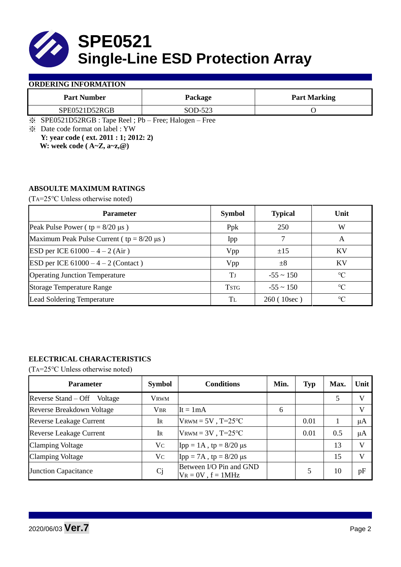

### **ORDERING INFORMATION**

| <b>Part Number</b> | Package | <b>Part Marking</b> |
|--------------------|---------|---------------------|
| SPE0521D52RGB      | SOD-523 |                     |

※ SPE0521D52RGB : Tape Reel ; Pb – Free; Halogen – Free

※ Date code format on label : YW **Y: year code ( ext. 2011 : 1; 2012: 2)**

 **W: week code ( A~Z, a~z,@)**

# **ABSOULTE MAXIMUM RATINGS**

(TA=25℃ Unless otherwise noted)

| <b>Parameter</b>                                 | <b>Symbol</b> | <b>Typical</b> | Unit            |  |
|--------------------------------------------------|---------------|----------------|-----------------|--|
| Peak Pulse Power ( $tp = 8/20 \mu s$ )           | Ppk           | 250            | W               |  |
| Maximum Peak Pulse Current ( $tp = 8/20 \mu s$ ) | Ipp           |                | A               |  |
| ESD per ICE $61000 - 4 - 2$ (Air)                | Vpp           | $\pm 15$       | <b>KV</b>       |  |
| ESD per ICE $61000 - 4 - 2$ (Contact)            | Vpp           | $\pm 8$        | <b>KV</b>       |  |
| <b>Operating Junction Temperature</b>            | Tј            | $-55 \sim 150$ | $\rm ^{\circ}C$ |  |
| <b>Storage Temperature Range</b>                 | <b>TSTG</b>   | $-55 \sim 150$ | $\rm ^{\circ}C$ |  |
| <b>Lead Soldering Temperature</b>                | Tī.           | 260 (10sec)    | $\rm ^{\circ}C$ |  |

# **ELECTRICAL CHARACTERISTICS**

(TA=25℃ Unless otherwise noted)

| <b>Parameter</b>                 | <b>Symbol</b> | <b>Conditions</b>                                  | Min. | <b>Typ</b> | Max. | Unit    |
|----------------------------------|---------------|----------------------------------------------------|------|------------|------|---------|
| Reverse Stand – Off<br>Voltage   | Vrwm          |                                                    |      |            |      |         |
| <b>Reverse Breakdown Voltage</b> | <b>VBR</b>    | It = $1mA$                                         | 6    |            |      | v       |
| <b>Reverse Leakage Current</b>   | IR            | $V_{\text{RWM}} = 5V$ , T=25°C                     |      | 0.01       |      | μA      |
| <b>Reverse Leakage Current</b>   | IR            | $V_{\text{RWM}} = 3V$ , T=25°C                     |      | 0.01       | 0.5  | $\mu A$ |
| <b>Clamping Voltage</b>          | Vc            | $\text{Ipp} = 1 \text{A}$ , tp = 8/20 µs           |      |            | 13   |         |
| <b>Clamping Voltage</b>          | Vc            | $Ipp = 7A$ , tp = 8/20 μs                          |      |            | 15   |         |
| <b>Junction Capacitance</b>      | <b>Cj</b>     | Between I/O Pin and GND<br>$V_R = 0V$ , $f = 1MHz$ |      |            | 10   | pF      |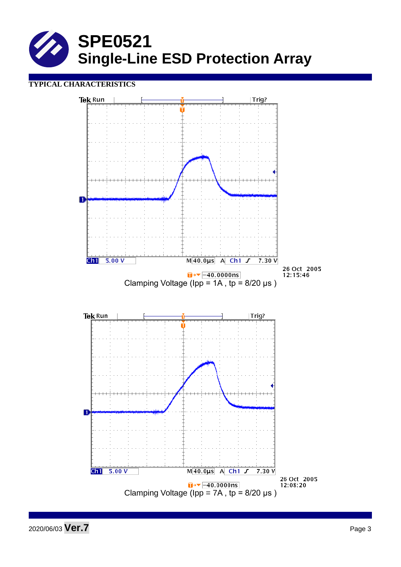

# **TYPICAL CHARACTERISTICS**



2020/06/03 **Ver.7** Page <sup>3</sup>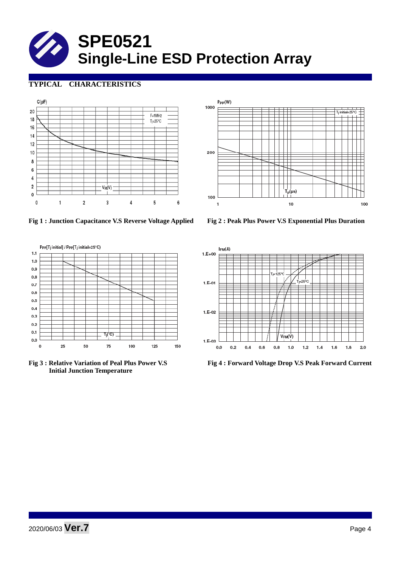# **SPE0521 Single-Line ESD Protection Array**

# **TYPICAL CHARACTERISTICS**





**Fig 1 : Junction Capacitance V.S Reverse Voltage Applied Fig 2 : Peak Plus Power V.S Exponential Plus Duration**



 **Initial Junction Temperature** 



**Fig 3 : Relative Variation of Peal Plus Power V.S Fig 4 : Forward Voltage Drop V.S Peak Forward Current**